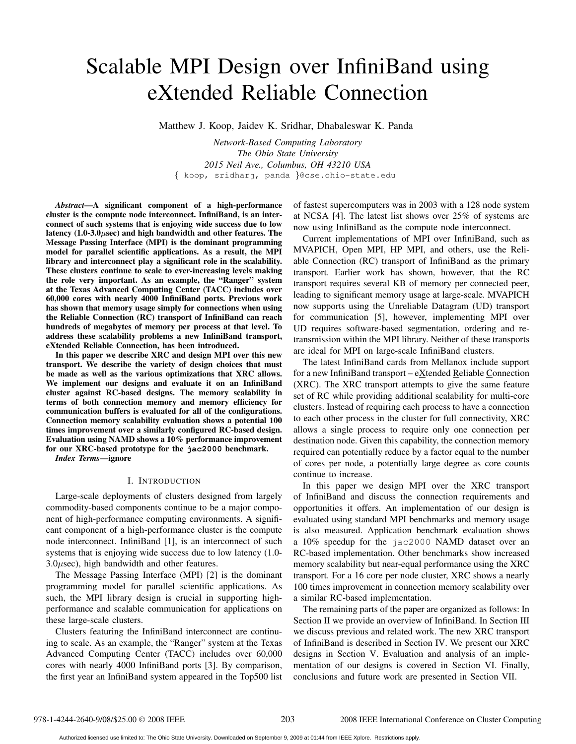# Scalable MPI Design over InfiniBand using eXtended Reliable Connection

Matthew J. Koop, Jaidev K. Sridhar, Dhabaleswar K. Panda

*Network-Based Computing Laboratory The Ohio State University 2015 Neil Ave., Columbus, OH 43210 USA* { koop, sridharj, panda }@cse.ohio-state.edu

*Abstract*—A significant component of a high-performance cluster is the compute node interconnect. InfiniBand, is an interconnect of such systems that is enjoying wide success due to low latency  $(1.0-3.0 \mu \text{sec})$  and high bandwidth and other features. The Message Passing Interface (MPI) is the dominant programming model for parallel scientific applications. As a result, the MPI library and interconnect play a significant role in the scalability. These clusters continue to scale to ever-increasing levels making the role very important. As an example, the "Ranger" system at the Texas Advanced Computing Center (TACC) includes over 60,000 cores with nearly 4000 InfiniBand ports. Previous work has shown that memory usage simply for connections when using the Reliable Connection (RC) transport of InfiniBand can reach hundreds of megabytes of memory per process at that level. To address these scalability problems a new InfiniBand transport, eXtended Reliable Connection, has been introduced.

In this paper we describe XRC and design MPI over this new transport. We describe the variety of design choices that must be made as well as the various optimizations that XRC allows. We implement our designs and evaluate it on an InfiniBand cluster against RC-based designs. The memory scalability in terms of both connection memory and memory efficiency for communication buffers is evaluated for all of the configurations. Connection memory scalability evaluation shows a potential 100 times improvement over a similarly configured RC-based design. Evaluation using NAMD shows a 10% performance improvement for our XRC-based prototype for the **jac2000** benchmark.

*Index Terms*—ignore

## I. INTRODUCTION

Large-scale deployments of clusters designed from largely commodity-based components continue to be a major component of high-performance computing environments. A significant component of a high-performance cluster is the compute node interconnect. InfiniBand [1], is an interconnect of such systems that is enjoying wide success due to low latency (1.0-  $3.0\mu$ sec), high bandwidth and other features.

The Message Passing Interface (MPI) [2] is the dominant programming model for parallel scientific applications. As such, the MPI library design is crucial in supporting highperformance and scalable communication for applications on these large-scale clusters.

Clusters featuring the InfiniBand interconnect are continuing to scale. As an example, the "Ranger" system at the Texas Advanced Computing Center (TACC) includes over 60,000 cores with nearly 4000 InfiniBand ports [3]. By comparison, the first year an InfiniBand system appeared in the Top500 list of fastest supercomputers was in 2003 with a 128 node system at NCSA [4]. The latest list shows over 25% of systems are now using InfiniBand as the compute node interconnect.

Current implementations of MPI over InfiniBand, such as MVAPICH, Open MPI, HP MPI, and others, use the Reliable Connection (RC) transport of InfiniBand as the primary transport. Earlier work has shown, however, that the RC transport requires several KB of memory per connected peer, leading to significant memory usage at large-scale. MVAPICH now supports using the Unreliable Datagram (UD) transport for communication [5], however, implementing MPI over UD requires software-based segmentation, ordering and retransmission within the MPI library. Neither of these transports are ideal for MPI on large-scale InfiniBand clusters.

The latest InfiniBand cards from Mellanox include support for a new InfiniBand transport – eXtended Reliable Connection (XRC). The XRC transport attempts to give the same feature set of RC while providing additional scalability for multi-core clusters. Instead of requiring each process to have a connection to each other process in the cluster for full connectivity, XRC allows a single process to require only one connection per destination node. Given this capability, the connection memory required can potentially reduce by a factor equal to the number of cores per node, a potentially large degree as core counts continue to increase.

In this paper we design MPI over the XRC transport of InfiniBand and discuss the connection requirements and opportunities it offers. An implementation of our design is evaluated using standard MPI benchmarks and memory usage is also measured. Application benchmark evaluation shows a 10% speedup for the jac2000 NAMD dataset over an RC-based implementation. Other benchmarks show increased memory scalability but near-equal performance using the XRC transport. For a 16 core per node cluster, XRC shows a nearly 100 times improvement in connection memory scalability over a similar RC-based implementation.

The remaining parts of the paper are organized as follows: In Section II we provide an overview of InfiniBand. In Section III we discuss previous and related work. The new XRC transport of InfiniBand is described in Section IV. We present our XRC designs in Section V. Evaluation and analysis of an implementation of our designs is covered in Section VI. Finally, conclusions and future work are presented in Section VII.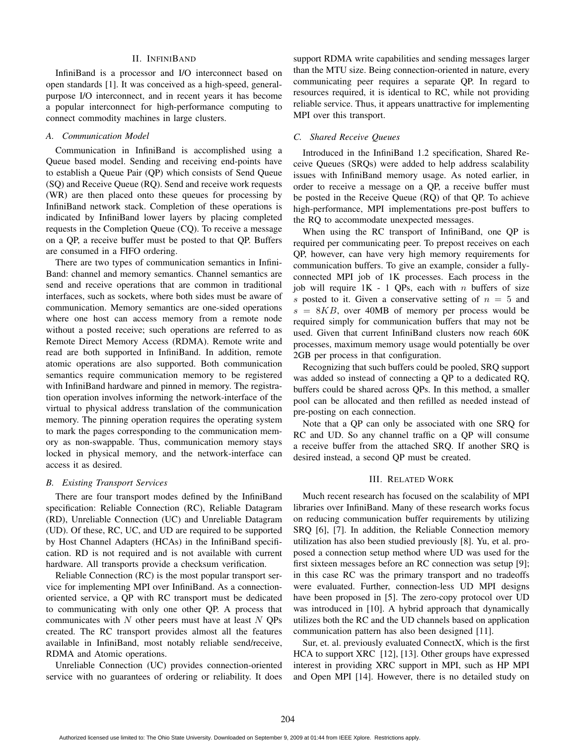#### II. INFINIBAND

InfiniBand is a processor and I/O interconnect based on open standards [1]. It was conceived as a high-speed, generalpurpose I/O interconnect, and in recent years it has become a popular interconnect for high-performance computing to connect commodity machines in large clusters.

## *A. Communication Model*

Communication in InfiniBand is accomplished using a Queue based model. Sending and receiving end-points have to establish a Queue Pair (QP) which consists of Send Queue (SQ) and Receive Queue (RQ). Send and receive work requests (WR) are then placed onto these queues for processing by InfiniBand network stack. Completion of these operations is indicated by InfiniBand lower layers by placing completed requests in the Completion Queue (CQ). To receive a message on a QP, a receive buffer must be posted to that QP. Buffers are consumed in a FIFO ordering.

There are two types of communication semantics in Infini-Band: channel and memory semantics. Channel semantics are send and receive operations that are common in traditional interfaces, such as sockets, where both sides must be aware of communication. Memory semantics are one-sided operations where one host can access memory from a remote node without a posted receive; such operations are referred to as Remote Direct Memory Access (RDMA). Remote write and read are both supported in InfiniBand. In addition, remote atomic operations are also supported. Both communication semantics require communication memory to be registered with InfiniBand hardware and pinned in memory. The registration operation involves informing the network-interface of the virtual to physical address translation of the communication memory. The pinning operation requires the operating system to mark the pages corresponding to the communication memory as non-swappable. Thus, communication memory stays locked in physical memory, and the network-interface can access it as desired.

## *B. Existing Transport Services*

There are four transport modes defined by the InfiniBand specification: Reliable Connection (RC), Reliable Datagram (RD), Unreliable Connection (UC) and Unreliable Datagram (UD). Of these, RC, UC, and UD are required to be supported by Host Channel Adapters (HCAs) in the InfiniBand specification. RD is not required and is not available with current hardware. All transports provide a checksum verification.

Reliable Connection (RC) is the most popular transport service for implementing MPI over InfiniBand. As a connectionoriented service, a QP with RC transport must be dedicated to communicating with only one other QP. A process that communicates with  $N$  other peers must have at least  $N$  QPs created. The RC transport provides almost all the features available in InfiniBand, most notably reliable send/receive, RDMA and Atomic operations.

Unreliable Connection (UC) provides connection-oriented service with no guarantees of ordering or reliability. It does

support RDMA write capabilities and sending messages larger than the MTU size. Being connection-oriented in nature, every communicating peer requires a separate QP. In regard to resources required, it is identical to RC, while not providing reliable service. Thus, it appears unattractive for implementing MPI over this transport.

## *C. Shared Receive Queues*

Introduced in the InfiniBand 1.2 specification, Shared Receive Queues (SRQs) were added to help address scalability issues with InfiniBand memory usage. As noted earlier, in order to receive a message on a QP, a receive buffer must be posted in the Receive Queue (RQ) of that QP. To achieve high-performance, MPI implementations pre-post buffers to the RQ to accommodate unexpected messages.

When using the RC transport of InfiniBand, one QP is required per communicating peer. To prepost receives on each QP, however, can have very high memory requirements for communication buffers. To give an example, consider a fullyconnected MPI job of 1K processes. Each process in the job will require  $1K - 1$  QPs, each with n buffers of size s posted to it. Given a conservative setting of  $n = 5$  and  $s = 8KB$ , over 40MB of memory per process would be required simply for communication buffers that may not be used. Given that current InfiniBand clusters now reach 60K processes, maximum memory usage would potentially be over 2GB per process in that configuration.

Recognizing that such buffers could be pooled, SRQ support was added so instead of connecting a QP to a dedicated RQ, buffers could be shared across QPs. In this method, a smaller pool can be allocated and then refilled as needed instead of pre-posting on each connection.

Note that a QP can only be associated with one SRQ for RC and UD. So any channel traffic on a QP will consume a receive buffer from the attached SRQ. If another SRQ is desired instead, a second QP must be created.

## III. RELATED WORK

Much recent research has focused on the scalability of MPI libraries over InfiniBand. Many of these research works focus on reducing communication buffer requirements by utilizing SRQ [6], [7]. In addition, the Reliable Connection memory utilization has also been studied previously [8]. Yu, et al. proposed a connection setup method where UD was used for the first sixteen messages before an RC connection was setup [9]; in this case RC was the primary transport and no tradeoffs were evaluated. Further, connection-less UD MPI designs have been proposed in [5]. The zero-copy protocol over UD was introduced in [10]. A hybrid approach that dynamically utilizes both the RC and the UD channels based on application communication pattern has also been designed [11].

Sur, et. al. previously evaluated ConnectX, which is the first HCA to support XRC [12], [13]. Other groups have expressed interest in providing XRC support in MPI, such as HP MPI and Open MPI [14]. However, there is no detailed study on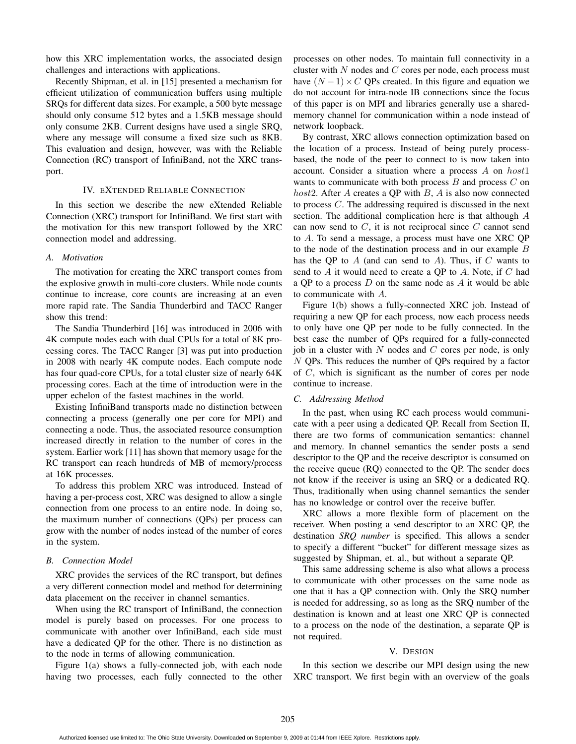how this XRC implementation works, the associated design challenges and interactions with applications.

Recently Shipman, et al. in [15] presented a mechanism for efficient utilization of communication buffers using multiple SRQs for different data sizes. For example, a 500 byte message should only consume 512 bytes and a 1.5KB message should only consume 2KB. Current designs have used a single SRQ, where any message will consume a fixed size such as 8KB. This evaluation and design, however, was with the Reliable Connection (RC) transport of InfiniBand, not the XRC transport.

## IV. EXTENDED RELIABLE CONNECTION

In this section we describe the new eXtended Reliable Connection (XRC) transport for InfiniBand. We first start with the motivation for this new transport followed by the XRC connection model and addressing.

## *A. Motivation*

The motivation for creating the XRC transport comes from the explosive growth in multi-core clusters. While node counts continue to increase, core counts are increasing at an even more rapid rate. The Sandia Thunderbird and TACC Ranger show this trend:

The Sandia Thunderbird [16] was introduced in 2006 with 4K compute nodes each with dual CPUs for a total of 8K processing cores. The TACC Ranger [3] was put into production in 2008 with nearly 4K compute nodes. Each compute node has four quad-core CPUs, for a total cluster size of nearly 64K processing cores. Each at the time of introduction were in the upper echelon of the fastest machines in the world.

Existing InfiniBand transports made no distinction between connecting a process (generally one per core for MPI) and connecting a node. Thus, the associated resource consumption increased directly in relation to the number of cores in the system. Earlier work [11] has shown that memory usage for the RC transport can reach hundreds of MB of memory/process at 16K processes.

To address this problem XRC was introduced. Instead of having a per-process cost, XRC was designed to allow a single connection from one process to an entire node. In doing so, the maximum number of connections (QPs) per process can grow with the number of nodes instead of the number of cores in the system.

## *B. Connection Model*

XRC provides the services of the RC transport, but defines a very different connection model and method for determining data placement on the receiver in channel semantics.

When using the RC transport of InfiniBand, the connection model is purely based on processes. For one process to communicate with another over InfiniBand, each side must have a dedicated QP for the other. There is no distinction as to the node in terms of allowing communication.

Figure 1(a) shows a fully-connected job, with each node having two processes, each fully connected to the other processes on other nodes. To maintain full connectivity in a cluster with  $N$  nodes and  $C$  cores per node, each process must have  $(N-1) \times C$  QPs created. In this figure and equation we do not account for intra-node IB connections since the focus of this paper is on MPI and libraries generally use a sharedmemory channel for communication within a node instead of network loopback.

By contrast, XRC allows connection optimization based on the location of a process. Instead of being purely processbased, the node of the peer to connect to is now taken into account. Consider a situation where a process  $A$  on  $host1$ wants to communicate with both process  $B$  and process  $C$  on host2. After A creates a QP with  $B$ , A is also now connected to process C. The addressing required is discussed in the next section. The additional complication here is that although A can now send to  $C$ , it is not reciprocal since  $C$  cannot send to A. To send a message, a process must have one XRC QP to the node of the destination process and in our example B has the OP to  $A$  (and can send to  $A$ ). Thus, if  $C$  wants to send to  $A$  it would need to create a QP to  $A$ . Note, if  $C$  had a QP to a process  $D$  on the same node as  $A$  it would be able to communicate with A.

Figure 1(b) shows a fully-connected XRC job. Instead of requiring a new QP for each process, now each process needs to only have one QP per node to be fully connected. In the best case the number of QPs required for a fully-connected job in a cluster with  $N$  nodes and  $C$  cores per node, is only N QPs. This reduces the number of QPs required by a factor of C, which is significant as the number of cores per node continue to increase.

#### *C. Addressing Method*

In the past, when using RC each process would communicate with a peer using a dedicated QP. Recall from Section II, there are two forms of communication semantics: channel and memory. In channel semantics the sender posts a send descriptor to the QP and the receive descriptor is consumed on the receive queue (RQ) connected to the QP. The sender does not know if the receiver is using an SRQ or a dedicated RQ. Thus, traditionally when using channel semantics the sender has no knowledge or control over the receive buffer.

XRC allows a more flexible form of placement on the receiver. When posting a send descriptor to an XRC QP, the destination *SRQ number* is specified. This allows a sender to specify a different "bucket" for different message sizes as suggested by Shipman, et. al., but without a separate QP.

This same addressing scheme is also what allows a process to communicate with other processes on the same node as one that it has a QP connection with. Only the SRQ number is needed for addressing, so as long as the SRQ number of the destination is known and at least one XRC QP is connected to a process on the node of the destination, a separate QP is not required.

## V. DESIGN

In this section we describe our MPI design using the new XRC transport. We first begin with an overview of the goals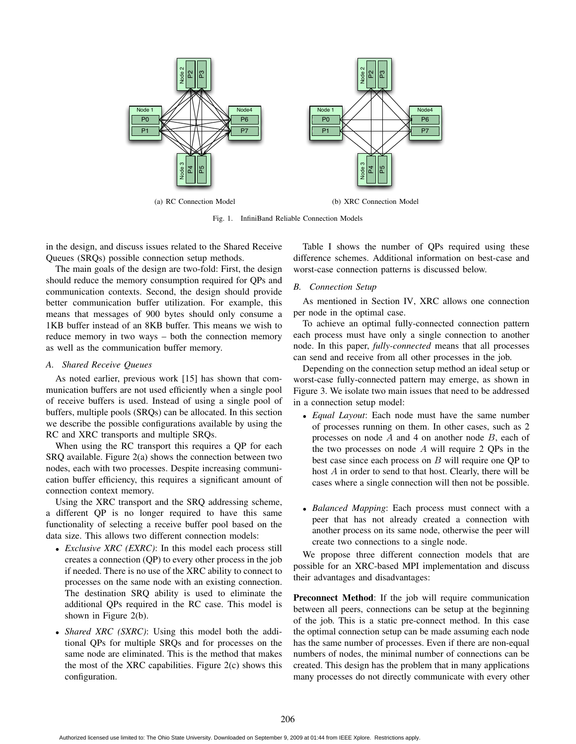

Fig. 1. InfiniBand Reliable Connection Models

in the design, and discuss issues related to the Shared Receive Queues (SRQs) possible connection setup methods.

The main goals of the design are two-fold: First, the design should reduce the memory consumption required for QPs and communication contexts. Second, the design should provide better communication buffer utilization. For example, this means that messages of 900 bytes should only consume a 1KB buffer instead of an 8KB buffer. This means we wish to reduce memory in two ways – both the connection memory as well as the communication buffer memory.

## *A. Shared Receive Queues*

As noted earlier, previous work [15] has shown that communication buffers are not used efficiently when a single pool of receive buffers is used. Instead of using a single pool of buffers, multiple pools (SRQs) can be allocated. In this section we describe the possible configurations available by using the RC and XRC transports and multiple SRQs.

When using the RC transport this requires a QP for each SRQ available. Figure 2(a) shows the connection between two nodes, each with two processes. Despite increasing communication buffer efficiency, this requires a significant amount of connection context memory.

Using the XRC transport and the SRQ addressing scheme, a different QP is no longer required to have this same functionality of selecting a receive buffer pool based on the data size. This allows two different connection models:

- *Exclusive XRC (EXRC)*: In this model each process still creates a connection (QP) to every other process in the job if needed. There is no use of the XRC ability to connect to processes on the same node with an existing connection. The destination SRQ ability is used to eliminate the additional QPs required in the RC case. This model is shown in Figure 2(b).
- *Shared XRC (SXRC)*: Using this model both the additional QPs for multiple SRQs and for processes on the same node are eliminated. This is the method that makes the most of the XRC capabilities. Figure 2(c) shows this configuration.

Table I shows the number of QPs required using these difference schemes. Additional information on best-case and worst-case connection patterns is discussed below.

## *B. Connection Setup*

As mentioned in Section IV, XRC allows one connection per node in the optimal case.

To achieve an optimal fully-connected connection pattern each process must have only a single connection to another node. In this paper, *fully-connected* means that all processes can send and receive from all other processes in the job.

Depending on the connection setup method an ideal setup or worst-case fully-connected pattern may emerge, as shown in Figure 3. We isolate two main issues that need to be addressed in a connection setup model:

- *Equal Layout*: Each node must have the same number of processes running on them. In other cases, such as 2 processes on node A and 4 on another node B, each of the two processes on node  $A$  will require 2 QPs in the best case since each process on  $B$  will require one QP to host A in order to send to that host. Clearly, there will be cases where a single connection will then not be possible.
- *Balanced Mapping*: Each process must connect with a peer that has not already created a connection with another process on its same node, otherwise the peer will create two connections to a single node.

We propose three different connection models that are possible for an XRC-based MPI implementation and discuss their advantages and disadvantages:

Preconnect Method: If the job will require communication between all peers, connections can be setup at the beginning of the job. This is a static pre-connect method. In this case the optimal connection setup can be made assuming each node has the same number of processes. Even if there are non-equal numbers of nodes, the minimal number of connections can be created. This design has the problem that in many applications many processes do not directly communicate with every other

Authorized licensed use limited to: The Ohio State University. Downloaded on September 9, 2009 at 01:44 from IEEE Xplore. Restrictions apply.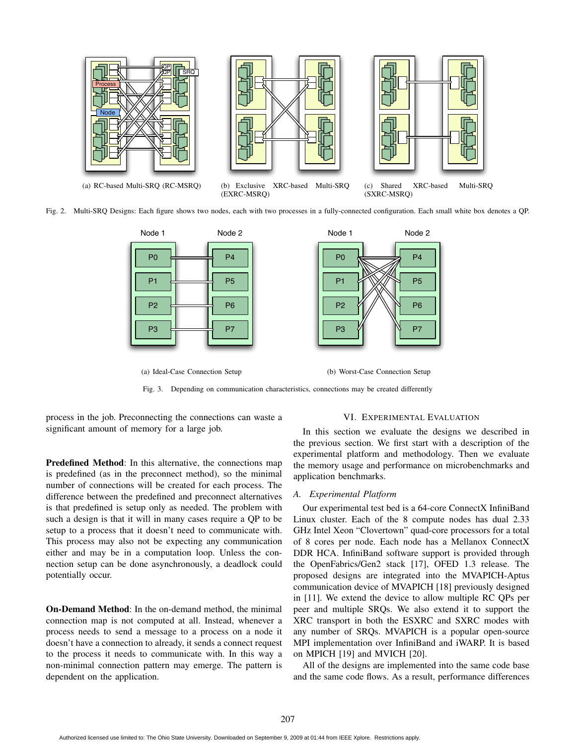

Fig. 2. Multi-SRQ Designs: Each figure shows two nodes, each with two processes in a fully-connected configuration. Each small white box denotes a QP.



(a) Ideal-Case Connection Setup (b) Worst-Case Connection Setup

Fig. 3. Depending on communication characteristics, connections may be created differently

process in the job. Preconnecting the connections can waste a significant amount of memory for a large job.

## VI. EXPERIMENTAL EVALUATION

In this section we evaluate the designs we described in the previous section. We first start with a description of the experimental platform and methodology. Then we evaluate the memory usage and performance on microbenchmarks and application benchmarks.

# *A. Experimental Platform*

Our experimental test bed is a 64-core ConnectX InfiniBand Linux cluster. Each of the 8 compute nodes has dual 2.33 GHz Intel Xeon "Clovertown" quad-core processors for a total of 8 cores per node. Each node has a Mellanox ConnectX DDR HCA. InfiniBand software support is provided through the OpenFabrics/Gen2 stack [17], OFED 1.3 release. The proposed designs are integrated into the MVAPICH-Aptus communication device of MVAPICH [18] previously designed in [11]. We extend the device to allow multiple RC QPs per peer and multiple SRQs. We also extend it to support the XRC transport in both the ESXRC and SXRC modes with any number of SRQs. MVAPICH is a popular open-source MPI implementation over InfiniBand and iWARP. It is based on MPICH [19] and MVICH [20].

All of the designs are implemented into the same code base and the same code flows. As a result, performance differences

Predefined Method: In this alternative, the connections map is predefined (as in the preconnect method), so the minimal number of connections will be created for each process. The difference between the predefined and preconnect alternatives is that predefined is setup only as needed. The problem with such a design is that it will in many cases require a QP to be setup to a process that it doesn't need to communicate with. This process may also not be expecting any communication either and may be in a computation loop. Unless the connection setup can be done asynchronously, a deadlock could potentially occur.

On-Demand Method: In the on-demand method, the minimal connection map is not computed at all. Instead, whenever a process needs to send a message to a process on a node it doesn't have a connection to already, it sends a connect request to the process it needs to communicate with. In this way a non-minimal connection pattern may emerge. The pattern is dependent on the application.

Authorized licensed use limited to: The Ohio State University. Downloaded on September 9, 2009 at 01:44 from IEEE Xplore. Restrictions apply.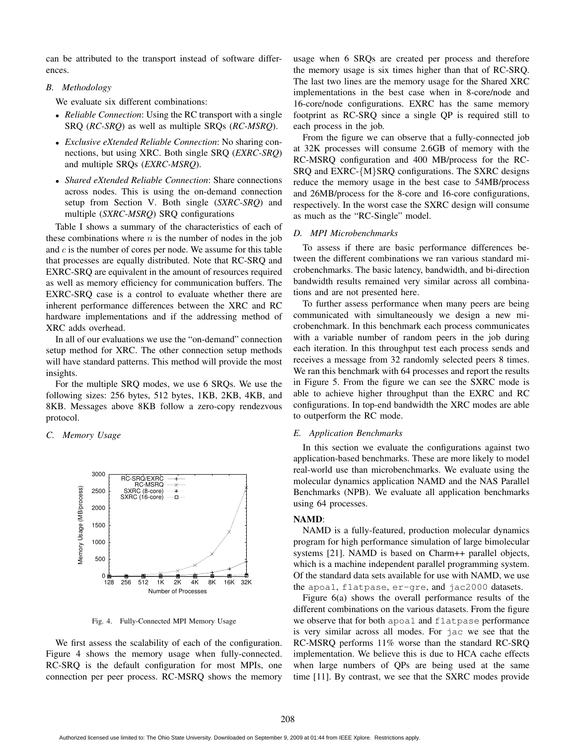can be attributed to the transport instead of software differences.

## *B. Methodology*

We evaluate six different combinations:

- *Reliable Connection*: Using the RC transport with a single SRQ (*RC-SRQ*) as well as multiple SRQs (*RC-MSRQ*).
- *Exclusive eXtended Reliable Connection*: No sharing connections, but using XRC. Both single SRQ (*EXRC-SRQ*) and multiple SRQs (*EXRC-MSRQ*).
- *Shared eXtended Reliable Connection*: Share connections across nodes. This is using the on-demand connection setup from Section V. Both single (*SXRC-SRQ*) and multiple (*SXRC-MSRQ*) SRQ configurations

Table I shows a summary of the characteristics of each of these combinations where  $n$  is the number of nodes in the job and  $c$  is the number of cores per node. We assume for this table that processes are equally distributed. Note that RC-SRQ and EXRC-SRQ are equivalent in the amount of resources required as well as memory efficiency for communication buffers. The EXRC-SRQ case is a control to evaluate whether there are inherent performance differences between the XRC and RC hardware implementations and if the addressing method of XRC adds overhead.

In all of our evaluations we use the "on-demand" connection setup method for XRC. The other connection setup methods will have standard patterns. This method will provide the most insights.

For the multiple SRQ modes, we use 6 SRQs. We use the following sizes: 256 bytes, 512 bytes, 1KB, 2KB, 4KB, and 8KB. Messages above 8KB follow a zero-copy rendezvous protocol.

*C. Memory Usage*



Fig. 4. Fully-Connected MPI Memory Usage

We first assess the scalability of each of the configuration. Figure 4 shows the memory usage when fully-connected. RC-SRQ is the default configuration for most MPIs, one connection per peer process. RC-MSRQ shows the memory usage when 6 SRQs are created per process and therefore the memory usage is six times higher than that of RC-SRQ. The last two lines are the memory usage for the Shared XRC implementations in the best case when in 8-core/node and 16-core/node configurations. EXRC has the same memory footprint as RC-SRQ since a single QP is required still to each process in the job.

From the figure we can observe that a fully-connected job at 32K processes will consume 2.6GB of memory with the RC-MSRQ configuration and 400 MB/process for the RC-SRQ and EXRC-{M}SRQ configurations. The SXRC designs reduce the memory usage in the best case to 54MB/process and 26MB/process for the 8-core and 16-core configurations, respectively. In the worst case the SXRC design will consume as much as the "RC-Single" model.

## *D. MPI Microbenchmarks*

To assess if there are basic performance differences between the different combinations we ran various standard microbenchmarks. The basic latency, bandwidth, and bi-direction bandwidth results remained very similar across all combinations and are not presented here.

To further assess performance when many peers are being communicated with simultaneously we design a new microbenchmark. In this benchmark each process communicates with a variable number of random peers in the job during each iteration. In this throughput test each process sends and receives a message from 32 randomly selected peers 8 times. We ran this benchmark with 64 processes and report the results in Figure 5. From the figure we can see the SXRC mode is able to achieve higher throughput than the EXRC and RC configurations. In top-end bandwidth the XRC modes are able to outperform the RC mode.

## *E. Application Benchmarks*

In this section we evaluate the configurations against two application-based benchmarks. These are more likely to model real-world use than microbenchmarks. We evaluate using the molecular dynamics application NAMD and the NAS Parallel Benchmarks (NPB). We evaluate all application benchmarks using 64 processes.

## NAMD:

NAMD is a fully-featured, production molecular dynamics program for high performance simulation of large bimolecular systems [21]. NAMD is based on Charm++ parallel objects, which is a machine independent parallel programming system. Of the standard data sets available for use with NAMD, we use the apoa1, f1atpase, er-gre, and jac2000 datasets.

Figure 6(a) shows the overall performance results of the different combinations on the various datasets. From the figure we observe that for both apoa1 and f1atpase performance is very similar across all modes. For jac we see that the RC-MSRQ performs 11% worse than the standard RC-SRQ implementation. We believe this is due to HCA cache effects when large numbers of QPs are being used at the same time [11]. By contrast, we see that the SXRC modes provide

Authorized licensed use limited to: The Ohio State University. Downloaded on September 9, 2009 at 01:44 from IEEE Xplore. Restrictions apply.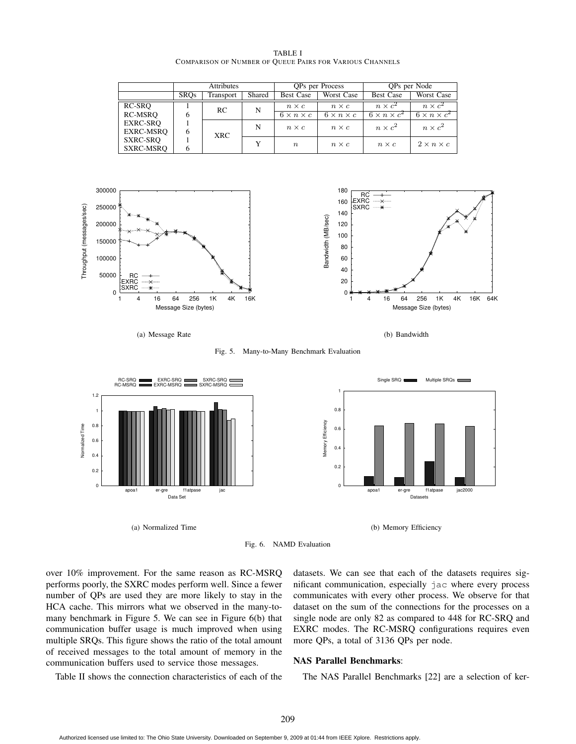| <b>TABLE I</b>                                                  |  |
|-----------------------------------------------------------------|--|
| <b>COMPARISON OF NUMBER OF QUEUE PAIRS FOR VARIOUS CHANNELS</b> |  |

|                | <b>Attributes</b> |            |        |                       | QPs per Process       | QPs per Node            |                         |  |
|----------------|-------------------|------------|--------|-----------------------|-----------------------|-------------------------|-------------------------|--|
|                | <b>SROs</b>       | Transport  | Shared | <b>Best Case</b>      | Worst Case            | <b>Best Case</b>        | Worst Case              |  |
| RC-SRO         |                   | RC         | N      | $n \times c$          | $n \times c$          | $n \times c^2$          | $n \times c^2$          |  |
| <b>RC-MSRO</b> |                   |            |        | $6 \times n \times c$ | $6 \times n \times c$ | $6 \times n \times c^2$ | $6 \times n \times c^2$ |  |
| EXRC-SRO       |                   |            | N      | $n \times c$          | $n \times c$          | $n \times c^2$          | $n \times c^2$          |  |
| EXRC-MSRO      |                   | <b>XRC</b> |        |                       |                       |                         |                         |  |
| SXRC-SRO       |                   |            |        | $\boldsymbol{n}$      | $n \times c$          | $n \times c$            | $2 \times n \times c$   |  |
| SXRC-MSRO      |                   |            |        |                       |                       |                         |                         |  |



(a) Message Rate

(b) Bandwidth





Fig. 6. NAMD Evaluation

over 10% improvement. For the same reason as RC-MSRQ performs poorly, the SXRC modes perform well. Since a fewer number of QPs are used they are more likely to stay in the HCA cache. This mirrors what we observed in the many-tomany benchmark in Figure 5. We can see in Figure 6(b) that communication buffer usage is much improved when using multiple SRQs. This figure shows the ratio of the total amount of received messages to the total amount of memory in the communication buffers used to service those messages.

datasets. We can see that each of the datasets requires significant communication, especially jac where every process communicates with every other process. We observe for that dataset on the sum of the connections for the processes on a single node are only 82 as compared to 448 for RC-SRQ and EXRC modes. The RC-MSRQ configurations requires even more QPs, a total of 3136 QPs per node.

Table II shows the connection characteristics of each of the

## NAS Parallel Benchmarks:

The NAS Parallel Benchmarks [22] are a selection of ker-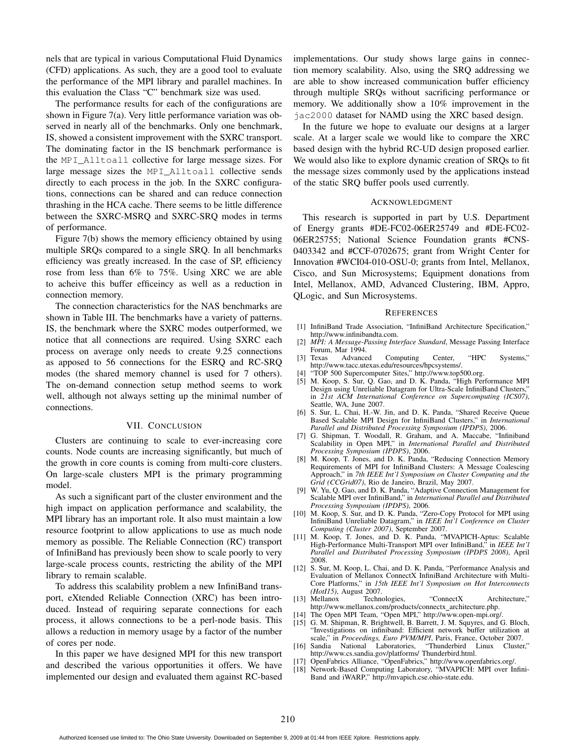nels that are typical in various Computational Fluid Dynamics (CFD) applications. As such, they are a good tool to evaluate the performance of the MPI library and parallel machines. In this evaluation the Class "C" benchmark size was used.

The performance results for each of the configurations are shown in Figure 7(a). Very little performance variation was observed in nearly all of the benchmarks. Only one benchmark, IS, showed a consistent improvement with the SXRC transport. The dominating factor in the IS benchmark performance is the MPI\_Alltoall collective for large message sizes. For large message sizes the MPI\_Alltoall collective sends directly to each process in the job. In the SXRC configurations, connections can be shared and can reduce connection thrashing in the HCA cache. There seems to be little difference between the SXRC-MSRQ and SXRC-SRQ modes in terms of performance.

Figure 7(b) shows the memory efficiency obtained by using multiple SRQs compared to a single SRQ. In all benchmarks efficiency was greatly increased. In the case of SP, efficiency rose from less than 6% to 75%. Using XRC we are able to acheive this buffer efficeincy as well as a reduction in connection memory.

The connection characteristics for the NAS benchmarks are shown in Table III. The benchmarks have a variety of patterns. IS, the benchmark where the SXRC modes outperformed, we notice that all connections are required. Using SXRC each process on average only needs to create 9.25 connections as apposed to 56 connections for the ESRQ and RC-SRQ modes (the shared memory channel is used for 7 others). The on-demand connection setup method seems to work well, although not always setting up the minimal number of connections.

#### VII. CONCLUSION

Clusters are continuing to scale to ever-increasing core counts. Node counts are increasing significantly, but much of the growth in core counts is coming from multi-core clusters. On large-scale clusters MPI is the primary programming model.

As such a significant part of the cluster environment and the high impact on application performance and scalability, the MPI library has an important role. It also must maintain a low resource footprint to allow applications to use as much node memory as possible. The Reliable Connection (RC) transport of InfiniBand has previously been show to scale poorly to very large-scale process counts, restricting the ability of the MPI library to remain scalable.

To address this scalability problem a new InfiniBand transport, eXtended Reliable Connection (XRC) has been introduced. Instead of requiring separate connections for each process, it allows connections to be a perl-node basis. This allows a reduction in memory usage by a factor of the number of cores per node.

In this paper we have designed MPI for this new transport and described the various opportunities it offers. We have implemented our design and evaluated them against RC-based implementations. Our study shows large gains in connection memory scalability. Also, using the SRQ addressing we are able to show increased communication buffer efficiency through multiple SRQs without sacrificing performance or memory. We additionally show a 10% improvement in the jac2000 dataset for NAMD using the XRC based design.

In the future we hope to evaluate our designs at a larger scale. At a larger scale we would like to compare the XRC based design with the hybrid RC-UD design proposed earlier. We would also like to explore dynamic creation of SRQs to fit the message sizes commonly used by the applications instead of the static SRQ buffer pools used currently.

#### ACKNOWLEDGMENT

This research is supported in part by U.S. Department of Energy grants #DE-FC02-06ER25749 and #DE-FC02- 06ER25755; National Science Foundation grants #CNS-0403342 and #CCF-0702675; grant from Wright Center for Innovation #WCI04-010-OSU-0; grants from Intel, Mellanox, Cisco, and Sun Microsystems; Equipment donations from Intel, Mellanox, AMD, Advanced Clustering, IBM, Appro, QLogic, and Sun Microsystems.

#### **REFERENCES**

- [1] InfiniBand Trade Association, "InfiniBand Architecture Specification," http://www.infinibandta.com.
- [2] *MPI: A Message-Passing Interface Standard*, Message Passing Interface Forum, Mar 1994.<br>Texas Advanced
- [3] Texas Advanced Computing Center, "HPC Systems," http://www.tacc.utexas.edu/resources/hpcsystems/.
- "TOP 500 Supercomputer Sites," http://www.top500.org.
- [5] M. Koop, S. Sur, Q. Gao, and D. K. Panda, "High Performance MPI Design using Unreliable Datagram for Ultra-Scale InfiniBand Clusters,' in *21st ACM International Conference on Supercomputing (ICS07)*, Seattle, WA, June 2007.
- [6] S. Sur, L. Chai, H.-W. Jin, and D. K. Panda, "Shared Receive Queue Based Scalable MPI Design for InfiniBand Clusters," in *International Parallel and Distributed Processing Symposium (IPDPS)*, 2006.
- [7] G. Shipman, T. Woodall, R. Graham, and A. Maccabe, "Infiniband Scalability in Open MPI," in *International Parallel and Distributed Processing Symposium (IPDPS)*, 2006.
- [8] M. Koop, T. Jones, and D. K. Panda, "Reducing Connection Memory Requirements of MPI for InfiniBand Clusters: A Message Coalescing Approach," in *7th IEEE Int'l Symposium on Cluster Computing and the Grid (CCGrid07)*, Rio de Janeiro, Brazil, May 2007.
- [9] W. Yu, Q. Gao, and D. K. Panda, "Adaptive Connection Management for Scalable MPI over InfiniBand," in *International Parallel and Distributed Processing Symposium (IPDPS)*, 2006.
- [10] M. Koop, S. Sur, and D. K. Panda, "Zero-Copy Protocol for MPI using InfiniBand Unreliable Datagram," in *IEEE Int'l Conference on Cluster Computing (Cluster 2007)*, September 2007.
- [11] M. Koop, T. Jones, and D. K. Panda, "MVAPICH-Aptus: Scalable<br>High-Performance Multi-Transport MPI over InfiniBand," in IEEE Int'l High-Performance Multi-Transport MPI over InfiniBand," *Parallel and Distributed Processing Symposium (IPDPS 2008)*, April 2008.
- [12] S. Sur, M. Koop, L. Chai, and D. K. Panda, "Performance Analysis and Evaluation of Mellanox ConnectX InfiniBand Architecture with Multi-Core Platforms," in *15th IEEE Int'l Symposium on Hot Interconnects (HotI15)*, August 2007.
- [13] Mellanox Technologies, "ConnectX Architecture," http://www.mellanox.com/products/connectx\_architecture.php.
- [14] The Open MPI Team, "Open MPI," http://www.open-mpi.org/.
- [15] G. M. Shipman, R. Brightwell, B. Barrett, J. M. Squyres, and G. Bloch, "Investigations on infiniband: Efficient network buffer utilization at scale," in *Proceedings, Euro PVM/MPI*, Paris, France, October 2007.<br>Sandia National Laboratories, "Thunderbird Linux Cluster
- [16] Sandia National Laboratories, "Thunderbird Linux Cluster," http://www.cs.sandia.gov/platforms/ Thunderbird.html.
- [17] OpenFabrics Alliance, "OpenFabrics," http://www.openfabrics.org/.
- Network-Based Computing Laboratory, "MVAPICH: MPI over Infini-Band and iWARP," http://mvapich.cse.ohio-state.edu.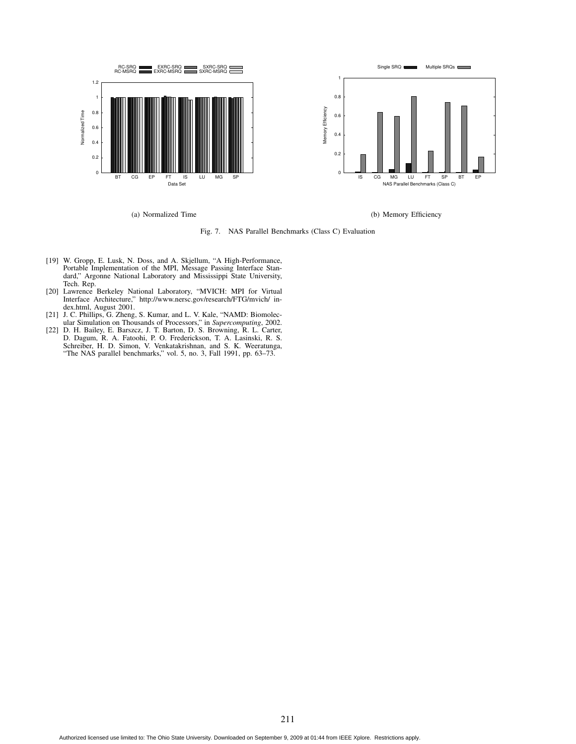

(a) Normalized Time

(b) Memory Efficiency

Fig. 7. NAS Parallel Benchmarks (Class C) Evaluation

- [19] W. Gropp, E. Lusk, N. Doss, and A. Skjellum, "A High-Performance, Portable Implementation of the MPI, Message Passing Interface Standard," Argonne National Laboratory and Mississippi State University, Tech. Rep.
- [20] Lawrence Berkeley National Laboratory, "MVICH: MPI for Virtual Interface Architecture," http://www.nersc.gov/research/FTG/mvich/ index.html, August 2001.
- [21] J. C. Phillips, G. Zheng, S. Kumar, and L. V. Kale, "NAMD: Biomolecular Simulation on Thousands of Processors," in *Supercomputing*, 2002.
- [22] D. H. Bailey, E. Barszcz, J. T. Barton, D. S. Browning, R. L. Carter, D. Dagum, R. A. Fatoohi, P. O. Frederickson, T. A. Lasinski, R. S. Schreiber, H. D. Simon, V. Venkatakrishnan, and S. K. Weeratunga, "The NAS parallel benchmarks," vol. 5, no. 3, Fall 1991, pp. 63–73.